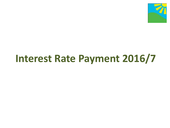

# **Interest Rate Payment 2016/7**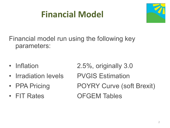## **Financial Model**



Financial model run using the following key parameters:

- 
- Irradiation levels PVGIS Estimation
- 
- 

• Inflation 2.5%, originally 3.0 • PPA Pricing POYRY Curve (soft Brexit) • FIT Rates **OFGEM Tables**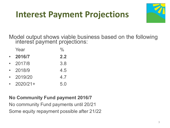#### **Interest Payment Projections**



Model output shows viable business based on the following interest payment projections:

|           | Year       | $\frac{0}{0}$ |
|-----------|------------|---------------|
| $\bullet$ | 2016/7     | 2.2           |
| $\bullet$ | 2017/8     | 3.8           |
| $\bullet$ | 2018/9     | 4.5           |
| $\bullet$ | 2019/20    | 4.7           |
|           | $2020/21+$ | 5.0           |

#### **No Community Fund payment 2016/7**

No community Fund payments until 20/21 Some equity repayment possible after 21/22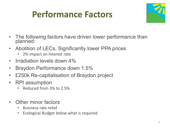#### **Performance Factors**



- The following factors have driven lower performance than planned:
- Abolition of LECs, Significantly lower PPA prices
	- 2% impact on interest rate
- Irradiation levels down 4%
- Braydon Performance down 1.5%
- £250k Re-capitalisation of Braydon project
- RPI assumption
	- Reduced from 3% to 2.5%
- Other minor factors
	- Business rate relief
	- Ecological Budget below what is required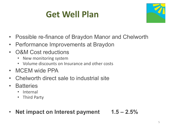## **Get Well Plan**



- Possible re-finance of Braydon Manor and Chelworth
- Performance Improvements at Braydon
- O&M Cost reductions
	- New monitoring system
	- Volume discounts on Insurance and other costs
- MCEM wide PPA
- Chelworth direct sale to industrial site
- Batteries
	- Internal
	- Third Party
- **Net impact on Interest payment 1.5 – 2.5%**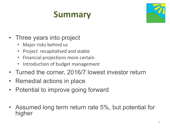## **Summary**



- Three years into project
	- Major risks behind us
	- Project recapitalised and stable
	- Financial projections more certain
	- Introduction of budget management
- Turned the corner, 2016/7 lowest investor return
- Remedial actions in place
- Potential to improve going forward
- Assumed long term return rate 5%, but potential for higher